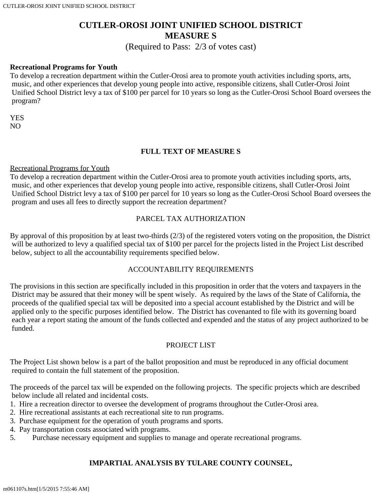# **CUTLER-OROSI JOINT UNIFIED SCHOOL DISTRICT MEASURE S**

(Required to Pass: 2/3 of votes cast)

#### **Recreational Programs for Youth**

To develop a recreation department within the Cutler-Orosi area to promote youth activities including sports, arts, music, and other experiences that develop young people into active, responsible citizens, shall Cutler-Orosi Joint Unified School District levy a tax of \$100 per parcel for 10 years so long as the Cutler-Orosi School Board oversees the program?

**YES** NO

## **FULL TEXT OF MEASURE S**

#### Recreational Programs for Youth

To develop a recreation department within the Cutler-Orosi area to promote youth activities including sports, arts, music, and other experiences that develop young people into active, responsible citizens, shall Cutler-Orosi Joint Unified School District levy a tax of \$100 per parcel for 10 years so long as the Cutler-Orosi School Board oversees the program and uses all fees to directly support the recreation department?

#### PARCEL TAX AUTHORIZATION

By approval of this proposition by at least two-thirds (2/3) of the registered voters voting on the proposition, the District will be authorized to levy a qualified special tax of \$100 per parcel for the projects listed in the Project List described below, subject to all the accountability requirements specified below.

## ACCOUNTABILITY REQUIREMENTS

The provisions in this section are specifically included in this proposition in order that the voters and taxpayers in the District may be assured that their money will be spent wisely. As required by the laws of the State of California, the proceeds of the qualified special tax will be deposited into a special account established by the District and will be applied only to the specific purposes identified below. The District has covenanted to file with its governing board each year a report stating the amount of the funds collected and expended and the status of any project authorized to be funded.

## PROJECT LIST

The Project List shown below is a part of the ballot proposition and must be reproduced in any official document required to contain the full statement of the proposition.

The proceeds of the parcel tax will be expended on the following projects. The specific projects which are described below include all related and incidental costs.

- 1. Hire a recreation director to oversee the development of programs throughout the Cutler-Orosi area.
- 2. Hire recreational assistants at each recreational site to run programs.
- 3. Purchase equipment for the operation of youth programs and sports.
- 4. Pay transportation costs associated with programs.
- 5. Purchase necessary equipment and supplies to manage and operate recreational programs.

# **IMPARTIAL ANALYSIS BY TULARE COUNTY COUNSEL,**